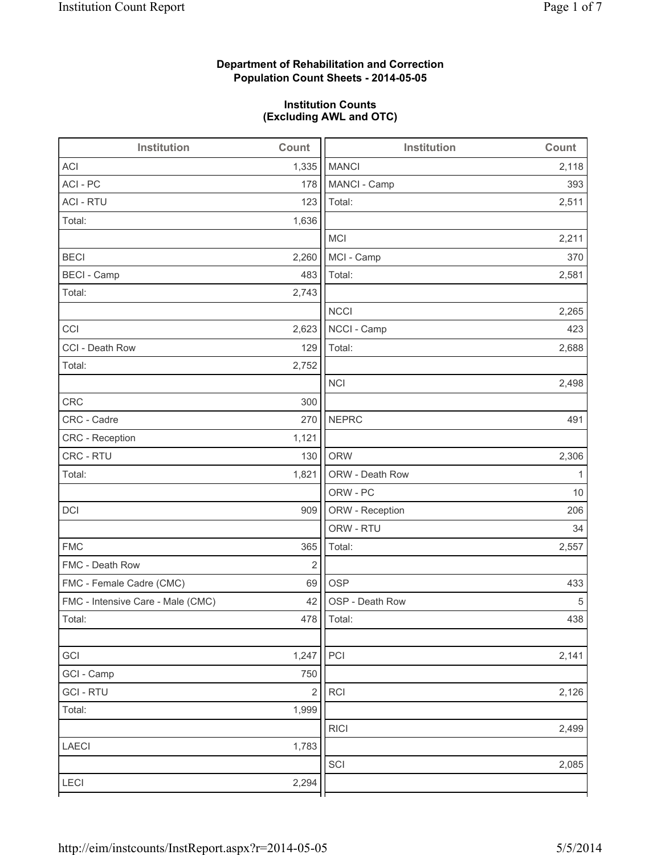# **Department of Rehabilitation and Correction Population Count Sheets - 2014-05-05**

## **Institution Counts (Excluding AWL and OTC)**

| Institution                       | Count                   | <b>Institution</b> | Count |
|-----------------------------------|-------------------------|--------------------|-------|
| <b>ACI</b>                        | 1,335                   | <b>MANCI</b>       | 2,118 |
| ACI - PC                          | 178                     | MANCI - Camp       | 393   |
| <b>ACI - RTU</b>                  | 123                     | Total:             | 2,511 |
| Total:                            | 1,636                   |                    |       |
|                                   |                         | <b>MCI</b>         | 2,211 |
| <b>BECI</b>                       | 2,260                   | MCI - Camp         | 370   |
| <b>BECI - Camp</b>                | 483                     | Total:             | 2,581 |
| Total:                            | 2,743                   |                    |       |
|                                   |                         | <b>NCCI</b>        | 2,265 |
| CCI                               | 2,623                   | NCCI - Camp        | 423   |
| CCI - Death Row                   | 129                     | Total:             | 2,688 |
| Total:                            | 2,752                   |                    |       |
|                                   |                         | <b>NCI</b>         | 2,498 |
| <b>CRC</b>                        | 300                     |                    |       |
| CRC - Cadre                       | 270                     | <b>NEPRC</b>       | 491   |
| CRC - Reception                   | 1,121                   |                    |       |
| CRC - RTU                         | 130                     | <b>ORW</b>         | 2,306 |
| Total:                            | 1,821                   | ORW - Death Row    | 1     |
|                                   |                         | ORW - PC           | 10    |
| DCI                               | 909                     | ORW - Reception    | 206   |
|                                   |                         | ORW - RTU          | 34    |
| <b>FMC</b>                        | 365                     | Total:             | 2,557 |
| FMC - Death Row                   | $\overline{2}$          |                    |       |
| FMC - Female Cadre (CMC)          | 69                      | <b>OSP</b>         | 433   |
| FMC - Intensive Care - Male (CMC) | 42                      | OSP - Death Row    | 5     |
| Total:                            |                         | 478   Total:       | 438   |
|                                   |                         |                    |       |
| GCI                               | 1,247                   | PCI                | 2,141 |
| GCI - Camp                        | 750                     |                    |       |
| <b>GCI-RTU</b>                    | $\overline{\mathbf{c}}$ | RCI                | 2,126 |
| Total:                            | 1,999                   |                    |       |
|                                   |                         | <b>RICI</b>        | 2,499 |
| LAECI                             | 1,783                   |                    |       |
|                                   |                         | SCI                | 2,085 |
| LECI                              | 2,294                   |                    |       |
|                                   |                         |                    |       |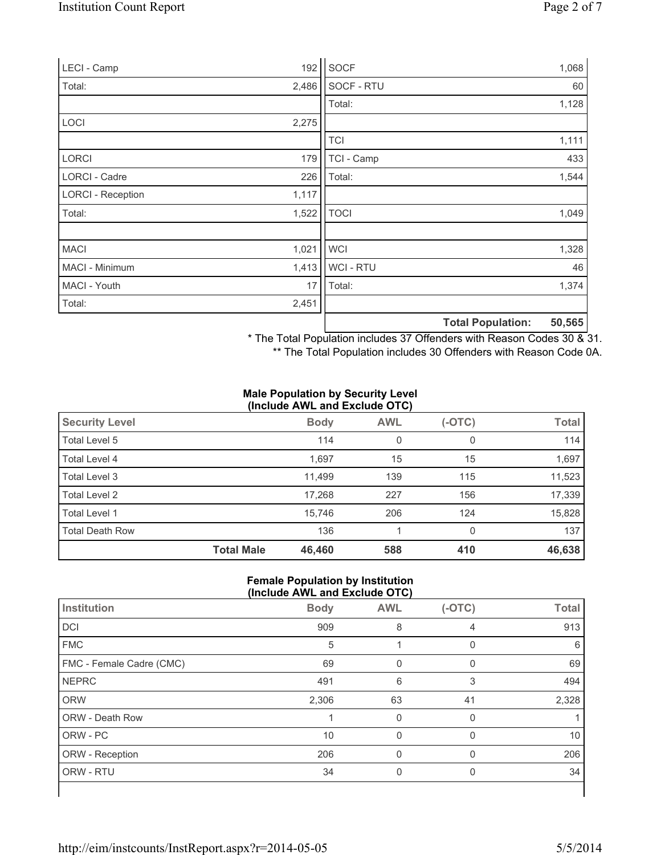| LECI - Camp              | 192   | SOCF           |                          | 1,068  |
|--------------------------|-------|----------------|--------------------------|--------|
| Total:                   | 2,486 | SOCF - RTU     |                          | 60     |
|                          |       | Total:         |                          | 1,128  |
| LOCI                     | 2,275 |                |                          |        |
|                          |       | <b>TCI</b>     |                          | 1,111  |
| <b>LORCI</b>             | 179   | TCI - Camp     |                          | 433    |
| LORCI - Cadre            | 226   | Total:         |                          | 1,544  |
| <b>LORCI - Reception</b> | 1,117 |                |                          |        |
| Total:                   | 1,522 | <b>TOCI</b>    |                          | 1,049  |
|                          |       |                |                          |        |
| <b>MACI</b>              | 1,021 | <b>WCI</b>     |                          | 1,328  |
| MACI - Minimum           | 1,413 | <b>WCI-RTU</b> |                          | 46     |
| MACI - Youth             | 17    | Total:         |                          | 1,374  |
| Total:                   | 2,451 |                |                          |        |
|                          |       |                | <b>Total Population:</b> | 50,565 |

\* The Total Population includes 37 Offenders with Reason Codes 30 & 31.

\*\* The Total Population includes 30 Offenders with Reason Code 0A.

#### **Male Population by Security Level (Include AWL and Exclude OTC)**

| <b>Security Level</b>  |                   | <b>Body</b> | <b>AWL</b> | (-OTC) | <b>Total</b> |
|------------------------|-------------------|-------------|------------|--------|--------------|
| Total Level 5          |                   | 114         | 0          | 0      | 114          |
| Total Level 4          |                   | 1,697       | 15         | 15     | 1,697        |
| Total Level 3          |                   | 11.499      | 139        | 115    | 11,523       |
| Total Level 2          |                   | 17,268      | 227        | 156    | 17,339       |
| Total Level 1          |                   | 15.746      | 206        | 124    | 15,828       |
| <b>Total Death Row</b> |                   | 136         |            | 0      | 137          |
|                        | <b>Total Male</b> | 46,460      | 588        | 410    | 46,638       |

#### **Female Population by Institution (Include AWL and Exclude OTC)**

| Institution              | <b>Body</b> | <b>AWL</b> | $(-OTC)$ | <b>Total</b> |
|--------------------------|-------------|------------|----------|--------------|
| <b>DCI</b>               | 909         | 8          | 4        | 913          |
| <b>FMC</b>               | 5           |            | 0        | 6            |
| FMC - Female Cadre (CMC) | 69          |            | 0        | 69           |
| <b>NEPRC</b>             | 491         | 6          | 3        | 494          |
| <b>ORW</b>               | 2,306       | 63         | 41       | 2,328        |
| <b>ORW - Death Row</b>   |             | 0          | 0        |              |
| ORW - PC                 | 10          | $\Omega$   | $\Omega$ | 10           |
| ORW - Reception          | 206         | O          |          | 206          |
| ORW - RTU                | 34          | 0          | 0        | 34           |
|                          |             |            |          |              |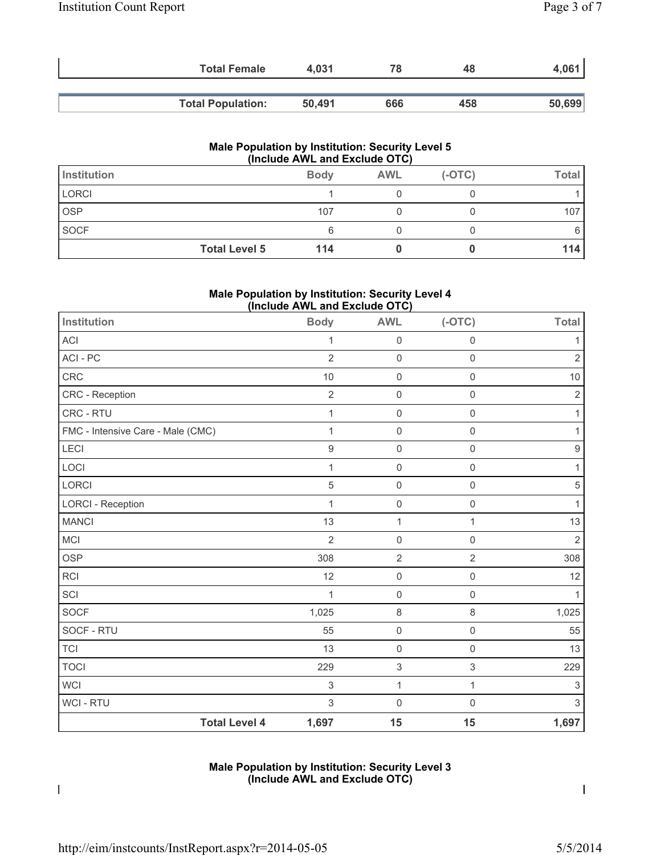| <b>Total Female</b>      | 4.031  | 78  | 48  | 4,061  |
|--------------------------|--------|-----|-----|--------|
|                          |        |     |     |        |
| <b>Total Population:</b> | 50,491 | 666 | 458 | 50,699 |

#### **Male Population by Institution: Security Level 5 (Include AWL and Exclude OTC)**

| Institution          | <b>Body</b> | <b>AWL</b> | $(-OTC)$ | Total |
|----------------------|-------------|------------|----------|-------|
| <b>LORCI</b>         |             |            |          |       |
| OSP                  | 107         |            |          | 107   |
| <b>SOCF</b>          | 6           |            |          |       |
| <b>Total Level 5</b> | 114         |            |          | 14    |

## **Male Population by Institution: Security Level 4 (Include AWL and Exclude OTC)**

| Institution                       | <b>Body</b>      | <b>AWL</b>                | $(-OTC)$            | <b>Total</b>              |
|-----------------------------------|------------------|---------------------------|---------------------|---------------------------|
| <b>ACI</b>                        | 1                | $\mathbf 0$               | $\mathsf{O}\xspace$ | 1                         |
| ACI - PC                          | $\overline{2}$   | $\mathsf{O}\xspace$       | $\mathsf 0$         | $\overline{2}$            |
| CRC                               | 10               | $\mathbf 0$               | $\mathsf{O}\xspace$ | $10$                      |
| CRC - Reception                   | $\overline{2}$   | $\mathsf{O}\xspace$       | $\mathsf{O}\xspace$ | $\overline{2}$            |
| CRC - RTU                         | $\mathbf 1$      | $\mathsf 0$               | $\mathsf{O}\xspace$ | $\mathbf{1}$              |
| FMC - Intensive Care - Male (CMC) | 1                | $\mathsf{O}\xspace$       | $\mathbf 0$         | 1                         |
| <b>LECI</b>                       | $\boldsymbol{9}$ | $\mathsf{O}\xspace$       | $\mathbf 0$         | $\boldsymbol{9}$          |
| LOCI                              | 1                | $\mathsf{O}\xspace$       | $\mathsf{O}\xspace$ | $\mathbf{1}$              |
| LORCI                             | 5                | $\mathsf{O}\xspace$       | $\mathbf 0$         | $\sqrt{5}$                |
| <b>LORCI - Reception</b>          | $\mathbf{1}$     | $\mathsf{O}\xspace$       | $\mathbf 0$         | $\mathbf{1}$              |
| <b>MANCI</b>                      | 13               | $\mathbf{1}$              | 1                   | $13$                      |
| MCI                               | $\overline{2}$   | $\mathsf{O}\xspace$       | $\mathbf 0$         | $\overline{2}$            |
| OSP                               | 308              | $\overline{2}$            | $\overline{2}$      | 308                       |
| <b>RCI</b>                        | 12               | $\mathsf{O}\xspace$       | $\mathsf{O}\xspace$ | 12                        |
| SCI                               | 1                | $\mathsf{O}\xspace$       | $\mathbf 0$         | 1                         |
| SOCF                              | 1,025            | 8                         | $\,8\,$             | 1,025                     |
| SOCF - RTU                        | 55               | $\mathsf{O}\xspace$       | $\mathsf{O}\xspace$ | 55                        |
| <b>TCI</b>                        | 13               | $\mathsf{O}\xspace$       | $\mathbf 0$         | 13                        |
| <b>TOCI</b>                       | 229              | $\ensuremath{\mathsf{3}}$ | 3                   | 229                       |
| <b>WCI</b>                        | 3                | $\mathbf{1}$              | 1                   | $\ensuremath{\mathsf{3}}$ |
| WCI - RTU                         | $\sqrt{3}$       | $\mathbf 0$               | $\mathbf 0$         | $\mathfrak{S}$            |
| <b>Total Level 4</b>              | 1,697            | 15                        | 15                  | 1,697                     |

## **Male Population by Institution: Security Level 3 (Include AWL and Exclude OTC)**

 $\overline{\phantom{a}}$ 

 $\overline{\phantom{a}}$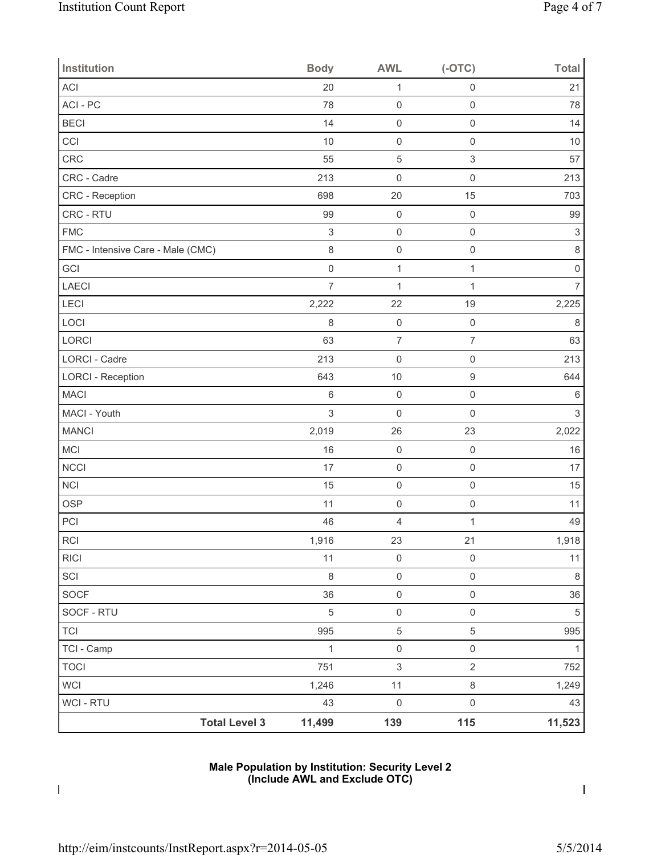| Institution                       | <b>Body</b>               | <b>AWL</b>          | $(-OTC)$                  | <b>Total</b>        |
|-----------------------------------|---------------------------|---------------------|---------------------------|---------------------|
| ACI                               | 20                        | $\mathbf{1}$        | $\mathsf 0$               | 21                  |
| ACI - PC                          | 78                        | $\mathsf 0$         | $\mathbf 0$               | 78                  |
| <b>BECI</b>                       | 14                        | $\mathsf{O}\xspace$ | $\mathsf 0$               | 14                  |
| CCI                               | 10                        | $\mathsf{O}\xspace$ | $\mathsf{O}\xspace$       | 10                  |
| CRC                               | 55                        | 5                   | $\ensuremath{\mathsf{3}}$ | 57                  |
| CRC - Cadre                       | 213                       | $\mathsf{O}\xspace$ | $\mathsf{O}\xspace$       | 213                 |
| CRC - Reception                   | 698                       | 20                  | 15                        | 703                 |
| CRC - RTU                         | 99                        | $\mathsf{O}\xspace$ | $\mathsf{O}\xspace$       | 99                  |
| <b>FMC</b>                        | $\ensuremath{\mathsf{3}}$ | $\mathsf{O}\xspace$ | $\mathsf{O}\xspace$       | $\sqrt{3}$          |
| FMC - Intensive Care - Male (CMC) | $\,8\,$                   | $\mathsf{O}\xspace$ | $\mathsf{O}\xspace$       | $\,8\,$             |
| GCI                               | $\mathsf{O}\xspace$       | $\mathbf{1}$        | $\mathbf{1}$              | $\mathsf{O}\xspace$ |
| LAECI                             | $\overline{7}$            | $\mathbf{1}$        | 1                         | 7                   |
| LECI                              | 2,222                     | 22                  | 19                        | 2,225               |
| LOCI                              | $\,8\,$                   | $\mathsf{O}\xspace$ | $\mathsf{O}\xspace$       | $\,8\,$             |
| LORCI                             | 63                        | $\overline{7}$      | $\overline{7}$            | 63                  |
| <b>LORCI - Cadre</b>              | 213                       | $\mathsf{O}\xspace$ | $\mathsf{O}\xspace$       | 213                 |
| <b>LORCI - Reception</b>          | 643                       | 10                  | $\boldsymbol{9}$          | 644                 |
| <b>MACI</b>                       | $\,6$                     | $\mathsf{O}\xspace$ | $\mathsf{O}\xspace$       | $\,6\,$             |
| MACI - Youth                      | $\sqrt{3}$                | $\mathsf{O}\xspace$ | $\mathsf{O}\xspace$       | $\mathsf 3$         |
| <b>MANCI</b>                      | 2,019                     | 26                  | 23                        | 2,022               |
| MCI                               | 16                        | $\mathsf{O}\xspace$ | $\mathsf{O}\xspace$       | 16                  |
| <b>NCCI</b>                       | 17                        | $\mathsf{O}\xspace$ | $\mathsf 0$               | 17                  |
| <b>NCI</b>                        | 15                        | $\mathsf{O}\xspace$ | $\mathsf{O}\xspace$       | 15                  |
| <b>OSP</b>                        | 11                        | $\mathsf{O}\xspace$ | $\mathsf 0$               | 11                  |
| PCI                               | 46                        | 4                   | 1                         | 49                  |
| $\sf RCI$                         | 1,916                     | 23                  | 21                        | 1,918               |
| <b>RICI</b>                       | 11                        | $\mathsf{O}\xspace$ | $\mathsf{O}\xspace$       | 11                  |
| SCI                               | $\,8\,$                   | $\mathsf{O}\xspace$ | $\mathsf{O}\xspace$       | $\,8\,$             |
| SOCF                              | 36                        | $\mathsf{O}\xspace$ | $\mathsf 0$               | 36                  |
| SOCF - RTU                        | $\,$ 5 $\,$               | $\mathsf{O}\xspace$ | $\mathsf 0$               | 5                   |
| <b>TCI</b>                        | 995                       | $\,$ 5 $\,$         | $\,$ 5 $\,$               | 995                 |
| TCI - Camp                        | $\mathbf{1}$              | $\mathsf{O}\xspace$ | $\mathsf{O}\xspace$       | 1                   |
| <b>TOCI</b>                       | 751                       | $\mathfrak{S}$      | $\sqrt{2}$                | 752                 |
| WCI                               | 1,246                     | 11                  | $\,8\,$                   | 1,249               |
| WCI - RTU                         | 43                        | $\mathsf{O}\xspace$ | $\mathsf{O}\xspace$       | 43                  |
| <b>Total Level 3</b>              | 11,499                    | 139                 | 115                       | 11,523              |

## **Male Population by Institution: Security Level 2 (Include AWL and Exclude OTC)**

 $\mathbf I$ 

 $\mathbf{l}$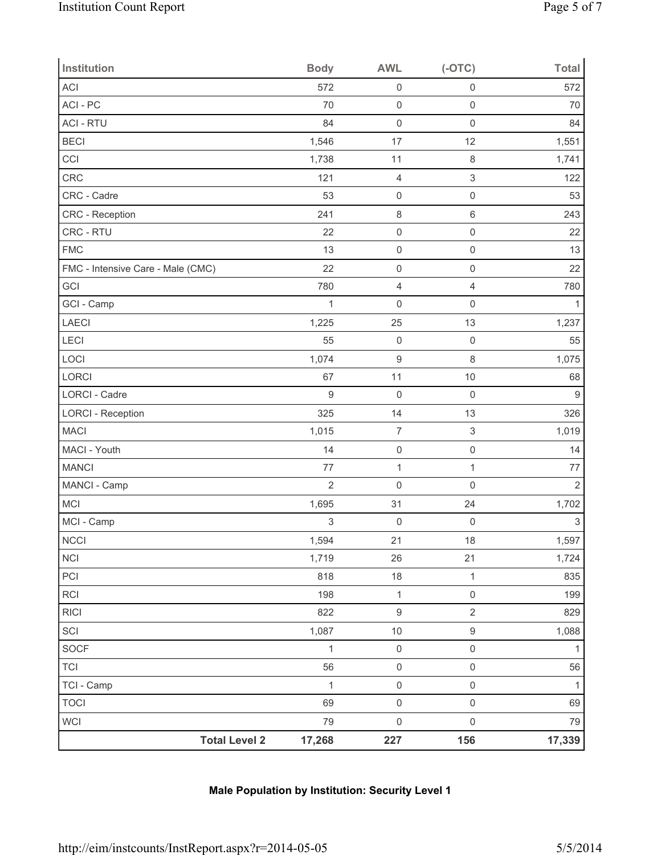| Institution                       | <b>Body</b>    | <b>AWL</b>          | $(-OTC)$                  | <b>Total</b>     |
|-----------------------------------|----------------|---------------------|---------------------------|------------------|
| ACI                               | 572            | $\mathsf{O}\xspace$ | $\mathsf{O}\xspace$       | 572              |
| ACI - PC                          | 70             | $\mathsf{O}\xspace$ | $\mathsf{O}\xspace$       | 70               |
| <b>ACI - RTU</b>                  | 84             | $\mathsf 0$         | $\mathsf{O}\xspace$       | 84               |
| <b>BECI</b>                       | 1,546          | 17                  | 12                        | 1,551            |
| CCI                               | 1,738          | 11                  | $\,8\,$                   | 1,741            |
| CRC                               | 121            | $\overline{4}$      | $\mathfrak{S}$            | 122              |
| CRC - Cadre                       | 53             | $\mathsf{O}\xspace$ | $\mathsf{O}\xspace$       | 53               |
| CRC - Reception                   | 241            | $\,8\,$             | $\,6\,$                   | 243              |
| CRC - RTU                         | 22             | $\mathsf 0$         | $\mathsf{O}\xspace$       | 22               |
| <b>FMC</b>                        | 13             | $\mathsf 0$         | $\mathsf{O}\xspace$       | 13               |
| FMC - Intensive Care - Male (CMC) | 22             | $\mathsf{O}\xspace$ | $\mathsf{O}\xspace$       | 22               |
| GCI                               | 780            | $\overline{4}$      | $\overline{4}$            | 780              |
| GCI - Camp                        | $\mathbf{1}$   | $\mathsf{O}\xspace$ | $\mathsf{O}\xspace$       | $\mathbf{1}$     |
| LAECI                             | 1,225          | 25                  | 13                        | 1,237            |
| LECI                              | 55             | $\mathsf 0$         | $\mathsf{O}\xspace$       | 55               |
| LOCI                              | 1,074          | $\boldsymbol{9}$    | $\,8\,$                   | 1,075            |
| LORCI                             | 67             | 11                  | $10$                      | 68               |
| <b>LORCI - Cadre</b>              | $\overline{9}$ | $\mathsf 0$         | $\mathsf 0$               | $\boldsymbol{9}$ |
| <b>LORCI - Reception</b>          | 325            | 14                  | 13                        | 326              |
| <b>MACI</b>                       | 1,015          | $\boldsymbol{7}$    | $\ensuremath{\mathsf{3}}$ | 1,019            |
| MACI - Youth                      | 14             | $\mathsf 0$         | $\mathsf{O}\xspace$       | 14               |
| <b>MANCI</b>                      | 77             | $\mathbf{1}$        | $\mathbf 1$               | 77               |
| MANCI - Camp                      | $\overline{2}$ | $\mathsf 0$         | $\mathsf{O}\xspace$       | $\overline{2}$   |
| <b>MCI</b>                        | 1,695          | 31                  | 24                        | 1,702            |
| MCI - Camp                        | 3              | $\mathsf{O}\xspace$ | $\mathbf 0$               | $\,$ 3 $\,$      |
| <b>NCCI</b>                       | 1,594          | 21                  | 18                        | 1,597            |
| <b>NCI</b>                        | 1,719          | 26                  | 21                        | 1,724            |
| $\mathsf{PCI}$                    | 818            | 18                  | $\mathbf{1}$              | 835              |
| RCI                               | 198            | $\mathbf{1}$        | $\mathsf{O}\xspace$       | 199              |
| RICI                              | 822            | $\boldsymbol{9}$    | $\overline{2}$            | 829              |
| SCI                               | 1,087          | 10                  | $\boldsymbol{9}$          | 1,088            |
| SOCF                              | $\mathbf{1}$   | $\mathsf{O}\xspace$ | $\mathsf{O}\xspace$       | $\mathbf{1}$     |
| <b>TCI</b>                        | 56             | $\mathsf{O}\xspace$ | $\mathsf{O}\xspace$       | 56               |
| TCI - Camp                        | $\mathbf{1}$   | $\mathsf 0$         | $\mathsf{O}\xspace$       | $\mathbf{1}$     |
| <b>TOCI</b>                       | 69             | $\mathsf{O}\xspace$ | $\mathsf{O}\xspace$       | 69               |
| WCI                               | 79             | $\mathsf{O}\xspace$ | $\mathsf{O}\xspace$       | 79               |
| <b>Total Level 2</b>              | 17,268         | 227                 | 156                       | 17,339           |

# **Male Population by Institution: Security Level 1**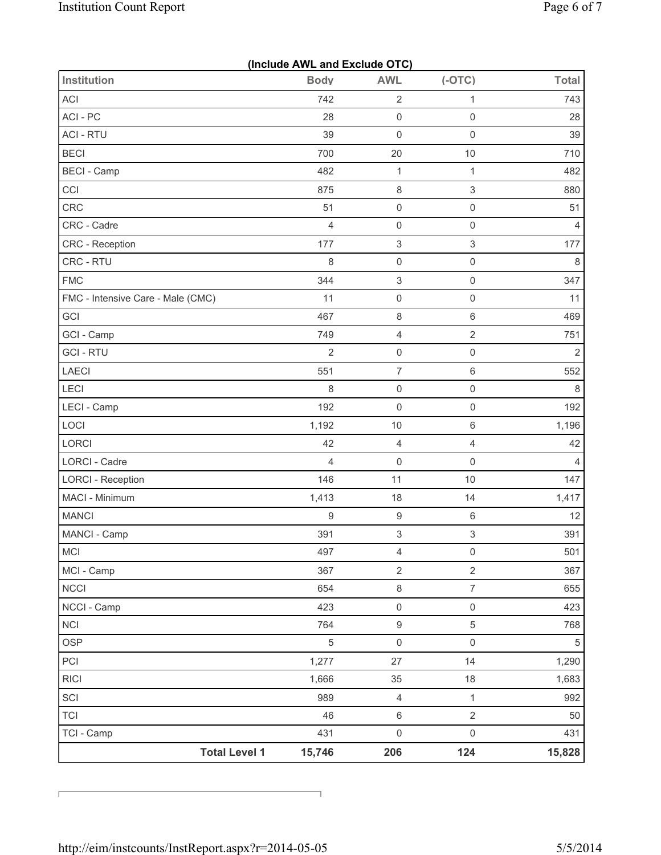|                                   | (Include AWL and Exclude OTC) |                           |                     |                |
|-----------------------------------|-------------------------------|---------------------------|---------------------|----------------|
| <b>Institution</b>                | <b>Body</b>                   | <b>AWL</b>                | $(-OTC)$            | <b>Total</b>   |
| ACI                               | 742                           | $\sqrt{2}$                | $\mathbf{1}$        | 743            |
| ACI-PC                            | 28                            | $\mathsf{O}\xspace$       | $\mathsf 0$         | 28             |
| <b>ACI - RTU</b>                  | 39                            | $\mathsf{O}\xspace$       | $\mathsf 0$         | 39             |
| <b>BECI</b>                       | 700                           | 20                        | 10                  | 710            |
| <b>BECI</b> - Camp                | 482                           | $\mathbf{1}$              | $\mathbf{1}$        | 482            |
| CCI                               | 875                           | $\,8\,$                   | 3                   | 880            |
| CRC                               | 51                            | $\mathsf 0$               | $\mathsf 0$         | 51             |
| CRC - Cadre                       | $\overline{4}$                | $\mathsf 0$               | $\mathsf 0$         | $\overline{4}$ |
| CRC - Reception                   | 177                           | $\ensuremath{\mathsf{3}}$ | 3                   | 177            |
| CRC - RTU                         | 8                             | $\mathsf 0$               | $\mathsf 0$         | 8              |
| <b>FMC</b>                        | 344                           | $\ensuremath{\mathsf{3}}$ | $\mathsf 0$         | 347            |
| FMC - Intensive Care - Male (CMC) | 11                            | $\mathsf 0$               | $\mathsf 0$         | 11             |
| GCI                               | 467                           | $\,8\,$                   | $\,6$               | 469            |
| GCI - Camp                        | 749                           | $\overline{4}$            | $\overline{2}$      | 751            |
| <b>GCI - RTU</b>                  | $\overline{2}$                | $\mathsf{O}\xspace$       | $\mathsf 0$         | $\overline{2}$ |
| LAECI                             | 551                           | $\overline{7}$            | $\,6$               | 552            |
| LECI                              | 8                             | $\mathsf 0$               | $\mathsf 0$         | $\,8\,$        |
| LECI - Camp                       | 192                           | $\mathsf{O}\xspace$       | $\mathsf{O}\xspace$ | 192            |
| LOCI                              | 1,192                         | 10                        | $\,6$               | 1,196          |
| LORCI                             | 42                            | $\overline{4}$            | $\overline{4}$      | 42             |
| LORCI - Cadre                     | 4                             | $\mathsf 0$               | $\mathsf 0$         | $\overline{4}$ |
| <b>LORCI - Reception</b>          | 146                           | 11                        | 10                  | 147            |
| MACI - Minimum                    | 1,413                         | 18                        | 14                  | 1,417          |
| <b>MANCI</b>                      | $\mathsf g$                   | $\boldsymbol{9}$          | $\,6$               | 12             |
| MANCI - Camp                      | 391                           | 3                         | $\,$ 3 $\,$         | 391            |
| MCI                               | 497                           | $\overline{4}$            | $\mathsf{O}\xspace$ | 501            |
| MCI - Camp                        | 367                           | $\overline{2}$            | $\overline{2}$      | 367            |
| <b>NCCI</b>                       | 654                           | $\,8\,$                   | $\overline{7}$      | 655            |
| NCCI - Camp                       | 423                           | $\mathsf 0$               | $\mathsf{O}\xspace$ | 423            |
| <b>NCI</b>                        | 764                           | $\hbox{9}$                | 5                   | 768            |
| <b>OSP</b>                        | 5                             | $\mathsf{O}\xspace$       | $\mathsf 0$         | 5              |
| PCI                               | 1,277                         | 27                        | 14                  | 1,290          |
| <b>RICI</b>                       | 1,666                         | 35                        | 18                  | 1,683          |
| SCI                               | 989                           | $\overline{4}$            | $\mathbf{1}$        | 992            |
| <b>TCI</b>                        | 46                            | $\,6\,$                   | $\overline{2}$      | 50             |
| TCI - Camp                        | 431                           | $\mathsf{O}\xspace$       | $\mathsf{O}\xspace$ | 431            |
| <b>Total Level 1</b>              | 15,746                        | 206                       | 124                 | 15,828         |

Ī.

 $\overline{\Gamma}$